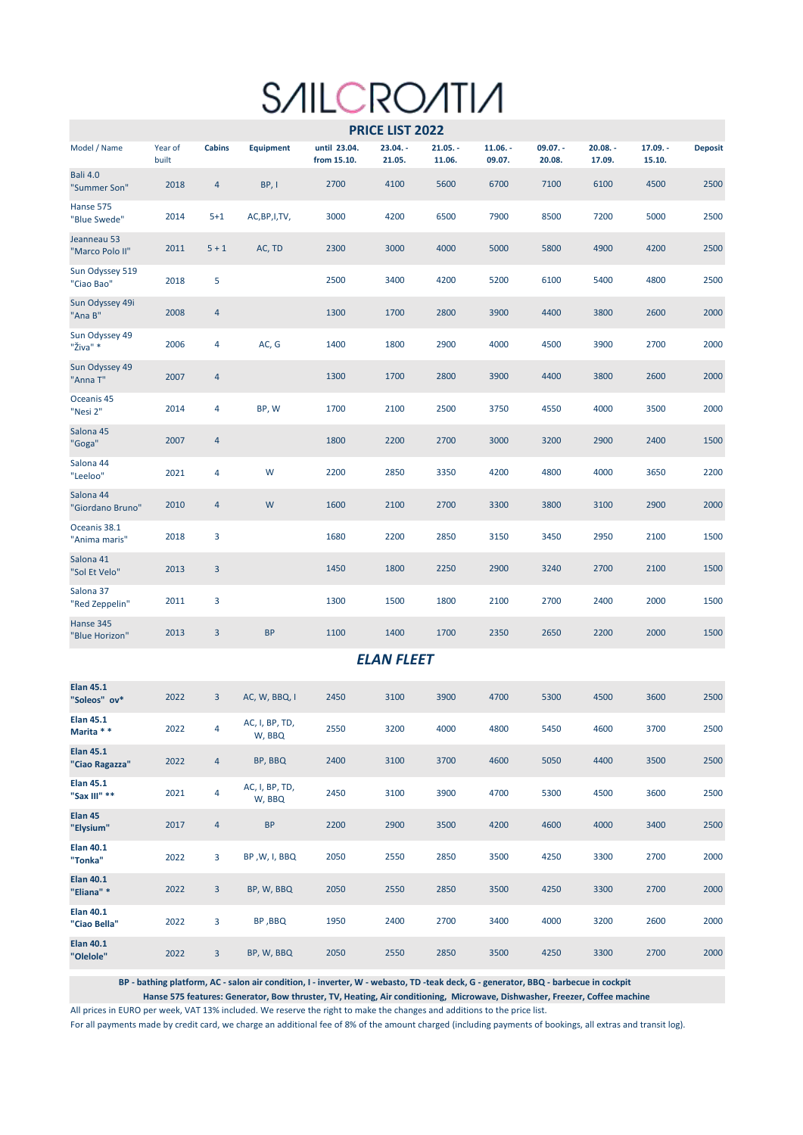## **SAILCROATIA**

|                                    |                  |                |                          |                             | PRICE LIST 2022      |                      |                      |                      |                      |                      |                |
|------------------------------------|------------------|----------------|--------------------------|-----------------------------|----------------------|----------------------|----------------------|----------------------|----------------------|----------------------|----------------|
| Model / Name                       | Year of<br>built | <b>Cabins</b>  | <b>Equipment</b>         | until 23.04.<br>from 15.10. | $23.04. -$<br>21.05. | $21.05. -$<br>11.06. | $11.06. -$<br>09.07. | $09.07. -$<br>20.08. | $20.08. -$<br>17.09. | $17.09. -$<br>15.10. | <b>Deposit</b> |
| <b>Bali 4.0</b><br>"Summer Son"    | 2018             | $\overline{a}$ | BP, I                    | 2700                        | 4100                 | 5600                 | 6700                 | 7100                 | 6100                 | 4500                 | 2500           |
| Hanse 575<br>"Blue Swede"          | 2014             | $5 + 1$        | AC, BP, I, TV,           | 3000                        | 4200                 | 6500                 | 7900                 | 8500                 | 7200                 | 5000                 | 2500           |
| Jeanneau 53<br>"Marco Polo II"     | 2011             | $5 + 1$        | AC, TD                   | 2300                        | 3000                 | 4000                 | 5000                 | 5800                 | 4900                 | 4200                 | 2500           |
| Sun Odyssey 519<br>"Ciao Bao"      | 2018             | 5              |                          | 2500                        | 3400                 | 4200                 | 5200                 | 6100                 | 5400                 | 4800                 | 2500           |
| Sun Odyssey 49i<br>"Ana B"         | 2008             | 4              |                          | 1300                        | 1700                 | 2800                 | 3900                 | 4400                 | 3800                 | 2600                 | 2000           |
| Sun Odyssey 49<br>"Živa" *         | 2006             | 4              | AC, G                    | 1400                        | 1800                 | 2900                 | 4000                 | 4500                 | 3900                 | 2700                 | 2000           |
| Sun Odyssey 49<br>"Anna T"         | 2007             | $\overline{a}$ |                          | 1300                        | 1700                 | 2800                 | 3900                 | 4400                 | 3800                 | 2600                 | 2000           |
| Oceanis 45<br>"Nesi 2"             | 2014             | 4              | BP, W                    | 1700                        | 2100                 | 2500                 | 3750                 | 4550                 | 4000                 | 3500                 | 2000           |
| Salona 45<br>"Goga"                | 2007             | $\overline{4}$ |                          | 1800                        | 2200                 | 2700                 | 3000                 | 3200                 | 2900                 | 2400                 | 1500           |
| Salona 44<br>"Leeloo"              | 2021             | 4              | W                        | 2200                        | 2850                 | 3350                 | 4200                 | 4800                 | 4000                 | 3650                 | 2200           |
| Salona 44<br>"Giordano Bruno"      | 2010             | 4              | W                        | 1600                        | 2100                 | 2700                 | 3300                 | 3800                 | 3100                 | 2900                 | 2000           |
| Oceanis 38.1<br>"Anima maris"      | 2018             | 3              |                          | 1680                        | 2200                 | 2850                 | 3150                 | 3450                 | 2950                 | 2100                 | 1500           |
| Salona 41<br>"Sol Et Velo"         | 2013             | $\overline{3}$ |                          | 1450                        | 1800                 | 2250                 | 2900                 | 3240                 | 2700                 | 2100                 | 1500           |
| Salona 37<br>"Red Zeppelin"        | 2011             | 3              |                          | 1300                        | 1500                 | 1800                 | 2100                 | 2700                 | 2400                 | 2000                 | 1500           |
| Hanse 345<br>"Blue Horizon"        | 2013             | $\overline{3}$ | <b>BP</b>                | 1100                        | 1400                 | 1700                 | 2350                 | 2650                 | 2200                 | 2000                 | 1500           |
|                                    |                  |                |                          |                             | <b>ELAN FLEET</b>    |                      |                      |                      |                      |                      |                |
| <b>Elan 45.1</b><br>"Soleos" ov*   | 2022             | $\overline{3}$ | AC, W, BBQ, I            | 2450                        | 3100                 | 3900                 | 4700                 | 5300                 | 4500                 | 3600                 | 2500           |
| <b>Elan 45.1</b><br>Marita * *     | 2022             | 4              | AC, I, BP, TD,<br>W, BBQ | 2550                        | 3200                 | 4000                 | 4800                 | 5450                 | 4600                 | 3700                 | 2500           |
| <b>Elan 45.1</b><br>"Ciao Ragazza" | 2022             | $\overline{4}$ | BP, BBQ                  | 2400                        | 3100                 | 3700                 | 4600                 | 5050                 | 4400                 | 3500                 | 2500           |
| <b>Elan 45.1</b><br>"Sax III" **   | 2021             | $\overline{4}$ | AC, I, BP, TD,<br>W, BBQ | 2450                        | 3100                 | 3900                 | 4700                 | 5300                 | 4500                 | 3600                 | 2500           |
| Elan 45<br>"Elysium"               | 2017             | 4              | <b>BP</b>                | 2200                        | 2900                 | 3500                 | 4200                 | 4600                 | 4000                 | 3400                 | 2500           |
| <b>Elan 40.1</b><br>"Tonka"        | 2022             | 3              | BP, W, I, BBQ            | 2050                        | 2550                 | 2850                 | 3500                 | 4250                 | 3300                 | 2700                 | 2000           |
| <b>Elan 40.1</b><br>"Eliana"*      | 2022             | $\mathbf{3}$   | BP, W, BBQ               | 2050                        | 2550                 | 2850                 | 3500                 | 4250                 | 3300                 | 2700                 | 2000           |
| <b>Elan 40.1</b><br>"Ciao Bella"   | 2022             | 3              | BP, BBQ                  | 1950                        | 2400                 | 2700                 | 3400                 | 4000                 | 3200                 | 2600                 | 2000           |
| <b>Elan 40.1</b><br>"Olelole"      | 2022             | 3              | BP, W, BBQ               | 2050                        | 2550                 | 2850                 | 3500                 | 4250                 | 3300                 | 2700                 | 2000           |

**BP - bathing platform, AC - salon air condition, I - inverter, W - webasto, TD -teak deck, G - generator, BBQ - barbecue in cockpit**

**Hanse 575 features: Generator, Bow thruster, TV, Heating, Air conditioning, Microwave, Dishwasher, Freezer, Coffee machine**

All prices in EURO per week, VAT 13% included. We reserve the right to make the changes and additions to the price list.

For all payments made by credit card, we charge an additional fee of 8% of the amount charged (including payments of bookings, all extras and transit log).